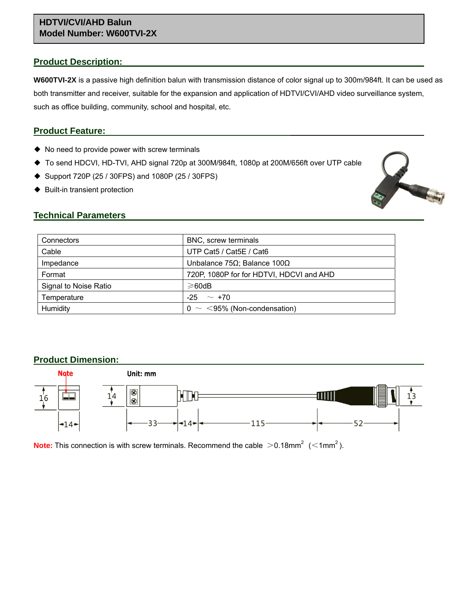## **HDTVI/CVI/AHD Balun Model Number: W600TVI-2X**

## **Product Description:**

**W600TVI-2X** is a passive high definition balun with transmission distance of color signal up to 300m/984ft. It can be used as both transmitter and receiver, suitable for the expansion and application of HDTVI/CVI/AHD video surveillance system, such as office building, community, school and hospital, etc.

## **Product Feature:**

- ◆ No need to provide power with screw terminals
- ◆ To send HDCVI, HD-TVI, AHD signal 720p at 300M/984ft, 1080p at 200M/656ft over UTP cable
- ◆ Support 720P (25 / 30FPS) and 1080P (25 / 30FPS)
- ◆ Built-in transient protection



# **Technical Parameters**

| Connectors            | BNC, screw terminals                         |  |
|-----------------------|----------------------------------------------|--|
| Cable                 | UTP Cat5 / Cat5E / Cat6                      |  |
| Impedance             | Unbalance 75 $\Omega$ ; Balance 100 $\Omega$ |  |
| Format                | 720P, 1080P for for HDTVI, HDCVI and AHD     |  |
| Signal to Noise Ratio | $\geqslant$ 60dB                             |  |
| Temperature           | $-25$<br>$\sim$ +70                          |  |
| Humidity              | $0 \sim$ <95% (Non-condensation)             |  |

# **Product Dimension:**



**Note:** This connection is with screw terminals. Recommend the cable  $>$ 0.18mm<sup>2</sup> ( $<$ 1mm<sup>2</sup>).